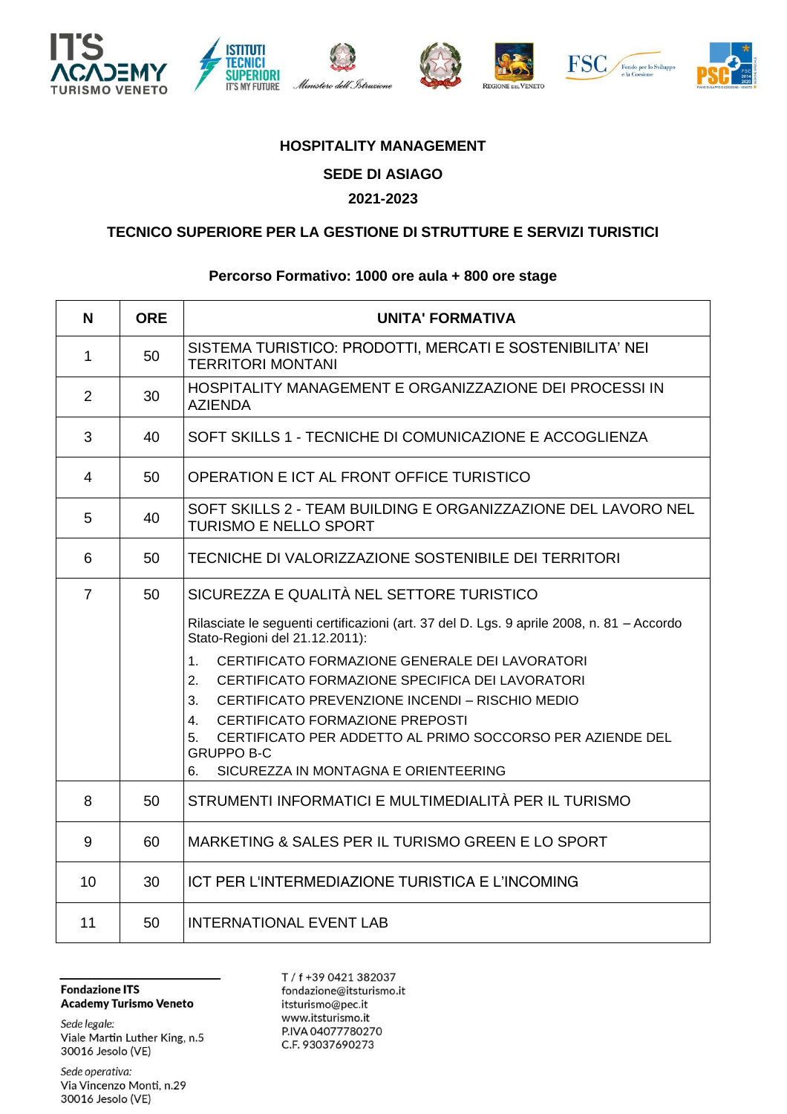











## **HOSPITALITY MANAGEMENT**

**SEDE DI ASIAGO**

## **2021-2023**

## **TECNICO SUPERIORE PER LA GESTIONE DI STRUTTURE E SERVIZI TURISTICI**

## **Percorso Formativo: 1000 ore aula + 800 ore stage**

| <b>N</b>       | <b>ORE</b> | <b>UNITA' FORMATIVA</b>                                                                                                                                                                                                                                                                                                                                                                                                                                                                                                                       |
|----------------|------------|-----------------------------------------------------------------------------------------------------------------------------------------------------------------------------------------------------------------------------------------------------------------------------------------------------------------------------------------------------------------------------------------------------------------------------------------------------------------------------------------------------------------------------------------------|
| 1              | 50         | SISTEMA TURISTICO: PRODOTTI, MERCATI E SOSTENIBILITA' NEI<br><b>TERRITORI MONTANI</b>                                                                                                                                                                                                                                                                                                                                                                                                                                                         |
| $\overline{2}$ | 30         | HOSPITALITY MANAGEMENT E ORGANIZZAZIONE DEI PROCESSI IN<br><b>AZIENDA</b>                                                                                                                                                                                                                                                                                                                                                                                                                                                                     |
| 3              | 40         | SOFT SKILLS 1 - TECNICHE DI COMUNICAZIONE E ACCOGLIENZA                                                                                                                                                                                                                                                                                                                                                                                                                                                                                       |
| $\overline{4}$ | 50         | OPERATION E ICT AL FRONT OFFICE TURISTICO                                                                                                                                                                                                                                                                                                                                                                                                                                                                                                     |
| 5              | 40         | SOFT SKILLS 2 - TEAM BUILDING E ORGANIZZAZIONE DEL LAVORO NEL<br><b>TURISMO E NELLO SPORT</b>                                                                                                                                                                                                                                                                                                                                                                                                                                                 |
| 6              | 50         | TECNICHE DI VALORIZZAZIONE SOSTENIBILE DEI TERRITORI                                                                                                                                                                                                                                                                                                                                                                                                                                                                                          |
| $\overline{7}$ | 50         | SICUREZZA E QUALITÀ NEL SETTORE TURISTICO<br>Rilasciate le seguenti certificazioni (art. 37 del D. Lgs. 9 aprile 2008, n. 81 - Accordo<br>Stato-Regioni del 21.12.2011):<br>CERTIFICATO FORMAZIONE GENERALE DEI LAVORATORI<br>1 <sub>1</sub><br>CERTIFICATO FORMAZIONE SPECIFICA DEI LAVORATORI<br>2.<br>CERTIFICATO PREVENZIONE INCENDI - RISCHIO MEDIO<br>3.<br>CERTIFICATO FORMAZIONE PREPOSTI<br>4.<br>CERTIFICATO PER ADDETTO AL PRIMO SOCCORSO PER AZIENDE DEL<br>5.<br><b>GRUPPO B-C</b><br>SICUREZZA IN MONTAGNA E ORIENTEERING<br>6. |
| 8              | 50         | STRUMENTI INFORMATICI E MULTIMEDIALITÀ PER IL TURISMO                                                                                                                                                                                                                                                                                                                                                                                                                                                                                         |
| 9              | 60         | MARKETING & SALES PER IL TURISMO GREEN E LO SPORT                                                                                                                                                                                                                                                                                                                                                                                                                                                                                             |
| 10             | 30         | ICT PER L'INTERMEDIAZIONE TURISTICA E L'INCOMING                                                                                                                                                                                                                                                                                                                                                                                                                                                                                              |
| 11             | 50         | <b>INTERNATIONAL EVENT LAB</b>                                                                                                                                                                                                                                                                                                                                                                                                                                                                                                                |

**Fondazione ITS Academy Turismo Veneto** 

Sede legale: Viale Martin Luther King, n.5 30016 Jesolo (VE)

Sede operativa: Via Vincenzo Monti, n.29 30016 Jesolo (VE)

T / f +39 0421 382037 fondazione@itsturismo.it itsturismo@pec.it www.itsturismo.it P.IVA 04077780270 C.F. 93037690273